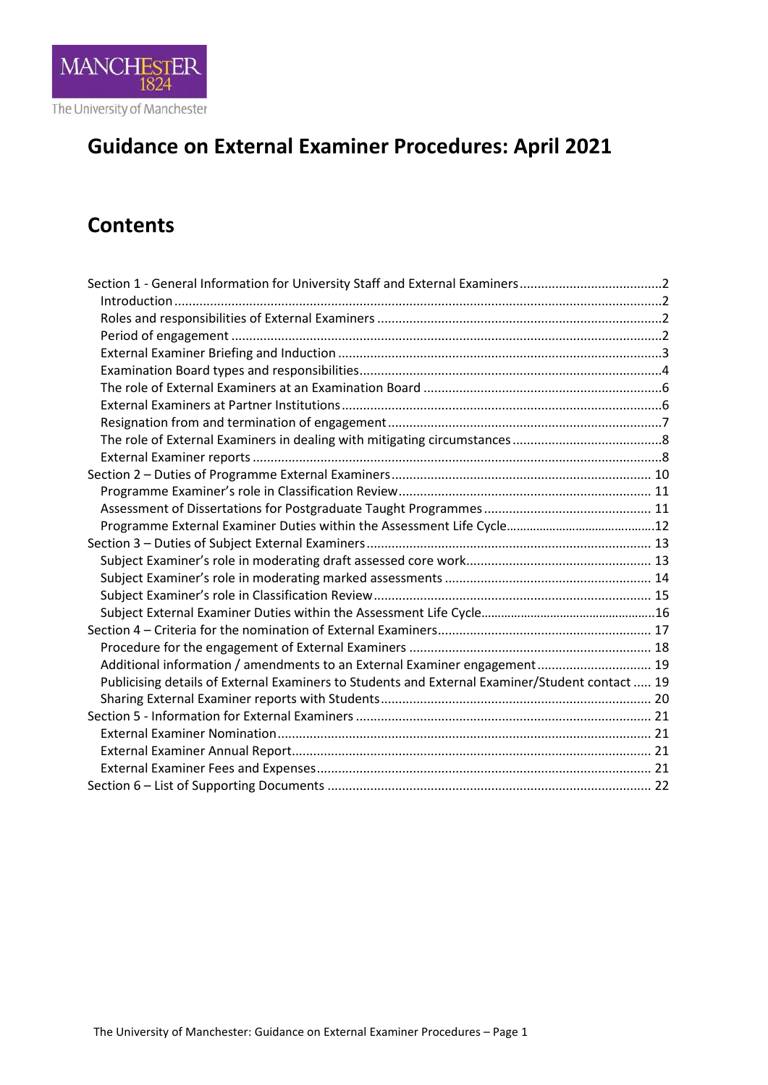

# **Guidance on External Examiner Procedures: April 2021**

# **Contents**

| Section 1 - General Information for University Staff and External Examiners2                    |  |
|-------------------------------------------------------------------------------------------------|--|
|                                                                                                 |  |
|                                                                                                 |  |
|                                                                                                 |  |
|                                                                                                 |  |
|                                                                                                 |  |
|                                                                                                 |  |
|                                                                                                 |  |
|                                                                                                 |  |
|                                                                                                 |  |
|                                                                                                 |  |
|                                                                                                 |  |
|                                                                                                 |  |
|                                                                                                 |  |
|                                                                                                 |  |
|                                                                                                 |  |
|                                                                                                 |  |
|                                                                                                 |  |
|                                                                                                 |  |
|                                                                                                 |  |
|                                                                                                 |  |
|                                                                                                 |  |
| Additional information / amendments to an External Examiner engagement 19                       |  |
| Publicising details of External Examiners to Students and External Examiner/Student contact  19 |  |
|                                                                                                 |  |
|                                                                                                 |  |
|                                                                                                 |  |
|                                                                                                 |  |
|                                                                                                 |  |
|                                                                                                 |  |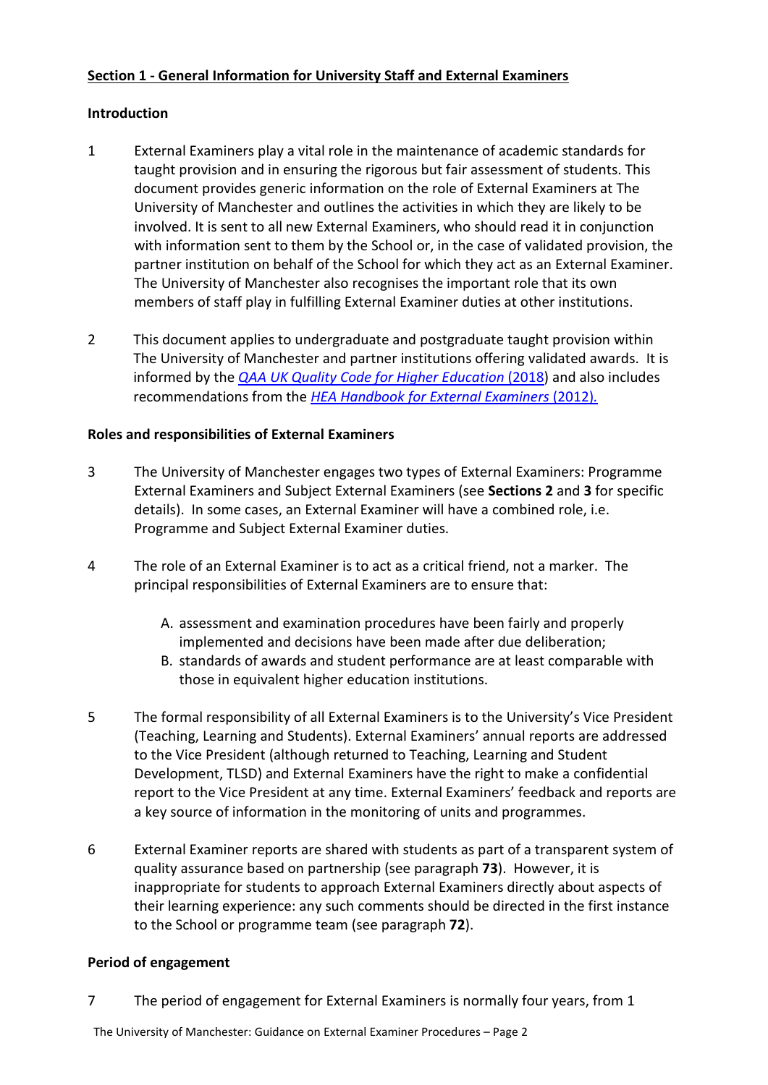# <span id="page-1-0"></span>**Section 1 - General Information for University Staff and External Examiners**

# <span id="page-1-1"></span>**Introduction**

- 1 External Examiners play a vital role in the maintenance of academic standards for taught provision and in ensuring the rigorous but fair assessment of students. This document provides generic information on the role of External Examiners at The University of Manchester and outlines the activities in which they are likely to be involved. It is sent to all new External Examiners, who should read it in conjunction with information sent to them by the School or, in the case of validated provision, the partner institution on behalf of the School for which they act as an External Examiner. The University of Manchester also recognises the important role that its own members of staff play in fulfilling External Examiner duties at other institutions.
- 2 This document applies to undergraduate and postgraduate taught provision within The University of Manchester and partner institutions offering validated awards. It is informed by the *[QAA UK Quality Code for Higher Education](https://www.qaa.ac.uk/quality-code)* (2018) and also includes recommendations from the *[HEA Handbook for External Examiners](https://www.heacademy.ac.uk/system/files/downloads/HE_Academy_External_Examiners_Handbook_2012.pdf)* (2012)*.*

# <span id="page-1-2"></span>**Roles and responsibilities of External Examiners**

- 3 The University of Manchester engages two types of External Examiners: Programme External Examiners and Subject External Examiners (see **Sections 2** and **3** for specific details). In some cases, an External Examiner will have a combined role, i.e. Programme and Subject External Examiner duties.
- 4 The role of an External Examiner is to act as a critical friend, not a marker. The principal responsibilities of External Examiners are to ensure that:
	- A. assessment and examination procedures have been fairly and properly implemented and decisions have been made after due deliberation;
	- B. standards of awards and student performance are at least comparable with those in equivalent higher education institutions.
- 5 The formal responsibility of all External Examiners is to the University's Vice President (Teaching, Learning and Students). External Examiners' annual reports are addressed to the Vice President (although returned to Teaching, Learning and Student Development, TLSD) and External Examiners have the right to make a confidential report to the Vice President at any time. External Examiners' feedback and reports are a key source of information in the monitoring of units and programmes.
- 6 External Examiner reports are shared with students as part of a transparent system of quality assurance based on partnership (see paragraph **73**). However, it is inappropriate for students to approach External Examiners directly about aspects of their learning experience: any such comments should be directed in the first instance to the School or programme team (see paragraph **72**).

# <span id="page-1-3"></span>**Period of engagement**

7 The period of engagement for External Examiners is normally four years, from 1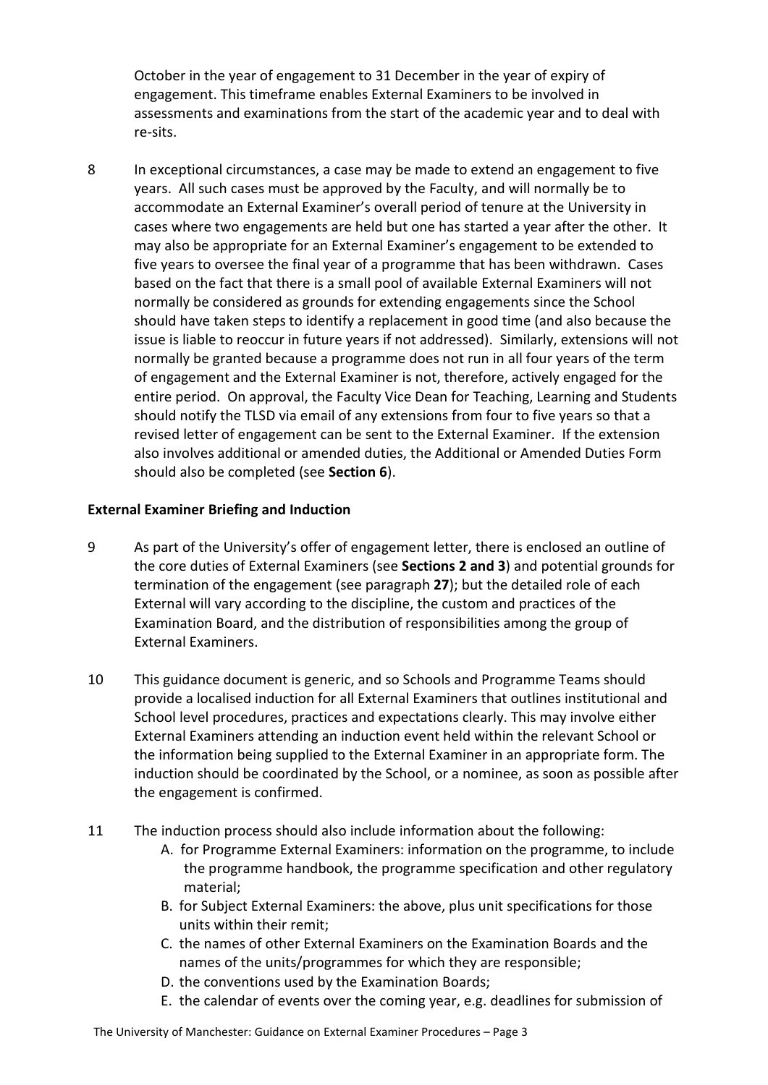October in the year of engagement to 31 December in the year of expiry of engagement. This timeframe enables External Examiners to be involved in assessments and examinations from the start of the academic year and to deal with re-sits.

8 In exceptional circumstances, a case may be made to extend an engagement to five years. All such cases must be approved by the Faculty, and will normally be to accommodate an External Examiner's overall period of tenure at the University in cases where two engagements are held but one has started a year after the other. It may also be appropriate for an External Examiner's engagement to be extended to five years to oversee the final year of a programme that has been withdrawn. Cases based on the fact that there is a small pool of available External Examiners will not normally be considered as grounds for extending engagements since the School should have taken steps to identify a replacement in good time (and also because the issue is liable to reoccur in future years if not addressed). Similarly, extensions will not normally be granted because a programme does not run in all four years of the term of engagement and the External Examiner is not, therefore, actively engaged for the entire period. On approval, the Faculty Vice Dean for Teaching, Learning and Students should notify the TLSD via email of any extensions from four to five years so that a revised letter of engagement can be sent to the External Examiner. If the extension also involves additional or amended duties, the Additional or Amended Duties Form should also be completed (see **Section 6**).

## <span id="page-2-0"></span>**External Examiner Briefing and Induction**

- 9 As part of the University's offer of engagement letter, there is enclosed an outline of the core duties of External Examiners (see **Sections 2 and 3**) and potential grounds for termination of the engagement (see paragraph **27**); but the detailed role of each External will vary according to the discipline, the custom and practices of the Examination Board, and the distribution of responsibilities among the group of External Examiners.
- 10 This guidance document is generic, and so Schools and Programme Teams should provide a localised induction for all External Examiners that outlines institutional and School level procedures, practices and expectations clearly. This may involve either External Examiners attending an induction event held within the relevant School or the information being supplied to the External Examiner in an appropriate form. The induction should be coordinated by the School, or a nominee, as soon as possible after the engagement is confirmed.
- 11 The induction process should also include information about the following:
	- A. for Programme External Examiners: information on the programme, to include the programme handbook, the programme specification and other regulatory material;
	- B. for Subject External Examiners: the above, plus unit specifications for those units within their remit;
	- C. the names of other External Examiners on the Examination Boards and the names of the units/programmes for which they are responsible;
	- D. the conventions used by the Examination Boards;
	- E. the calendar of events over the coming year, e.g. deadlines for submission of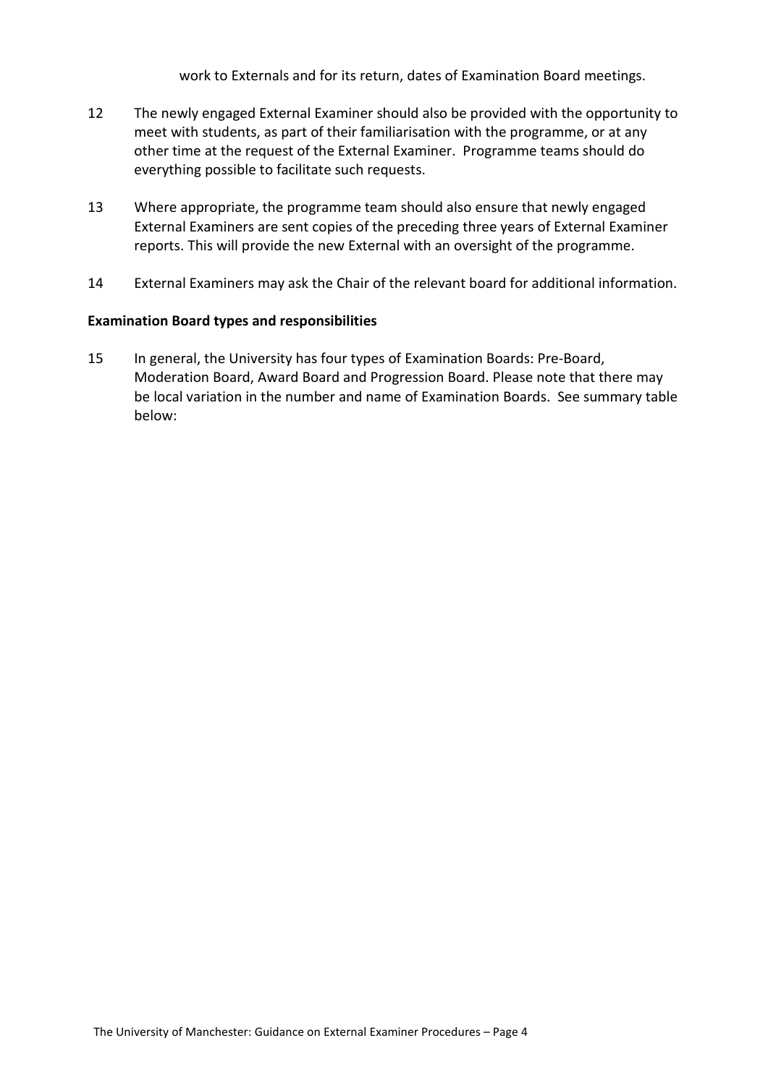work to Externals and for its return, dates of Examination Board meetings.

- 12 The newly engaged External Examiner should also be provided with the opportunity to meet with students, as part of their familiarisation with the programme, or at any other time at the request of the External Examiner. Programme teams should do everything possible to facilitate such requests.
- 13 Where appropriate, the programme team should also ensure that newly engaged External Examiners are sent copies of the preceding three years of External Examiner reports. This will provide the new External with an oversight of the programme.
- 14 External Examiners may ask the Chair of the relevant board for additional information.

#### <span id="page-3-0"></span>**Examination Board types and responsibilities**

15 In general, the University has four types of Examination Boards: Pre-Board, Moderation Board, Award Board and Progression Board. Please note that there may be local variation in the number and name of Examination Boards. See summary table below: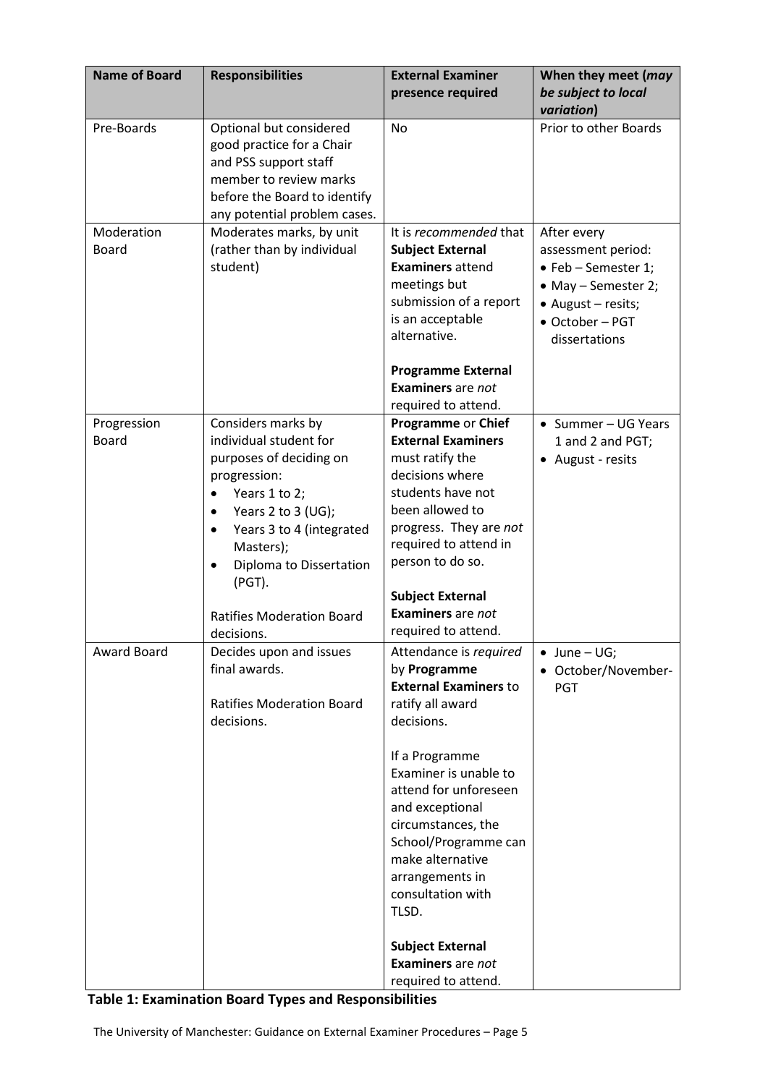| <b>Name of Board</b>        | <b>Responsibilities</b>                                                                                                                                                 | <b>External Examiner</b><br>presence required                                                                                                                                                          | When they meet (may<br>be subject to local                                                                                 |
|-----------------------------|-------------------------------------------------------------------------------------------------------------------------------------------------------------------------|--------------------------------------------------------------------------------------------------------------------------------------------------------------------------------------------------------|----------------------------------------------------------------------------------------------------------------------------|
|                             |                                                                                                                                                                         |                                                                                                                                                                                                        | variation)                                                                                                                 |
| Pre-Boards                  | Optional but considered<br>good practice for a Chair<br>and PSS support staff<br>member to review marks<br>before the Board to identify<br>any potential problem cases. | <b>No</b>                                                                                                                                                                                              | Prior to other Boards                                                                                                      |
| Moderation                  | Moderates marks, by unit                                                                                                                                                | It is recommended that                                                                                                                                                                                 | After every                                                                                                                |
| <b>Board</b>                | (rather than by individual<br>student)                                                                                                                                  | <b>Subject External</b><br><b>Examiners attend</b><br>meetings but<br>submission of a report<br>is an acceptable<br>alternative.                                                                       | assessment period:<br>• Feb - Semester 1;<br>• May - Semester 2;<br>• August - resits;<br>• October - PGT<br>dissertations |
|                             |                                                                                                                                                                         | <b>Programme External</b><br><b>Examiners</b> are not<br>required to attend.                                                                                                                           |                                                                                                                            |
| Progression<br><b>Board</b> | Considers marks by<br>individual student for<br>purposes of deciding on<br>progression:<br>Years 1 to 2;<br>$\bullet$                                                   | Programme or Chief<br><b>External Examiners</b><br>must ratify the<br>decisions where<br>students have not                                                                                             | • Summer - UG Years<br>1 and 2 and PGT;<br>• August - resits                                                               |
|                             | Years 2 to 3 (UG);<br>$\bullet$<br>Years 3 to 4 (integrated<br>$\bullet$<br>Masters);<br>Diploma to Dissertation<br>$\bullet$<br>(PGT).                                 | been allowed to<br>progress. They are not<br>required to attend in<br>person to do so.                                                                                                                 |                                                                                                                            |
|                             | <b>Ratifies Moderation Board</b><br>decisions.                                                                                                                          | <b>Subject External</b><br><b>Examiners</b> are not<br>required to attend.                                                                                                                             |                                                                                                                            |
| Award Board                 | Decides upon and issues<br>final awards.<br><b>Ratifies Moderation Board</b><br>decisions.                                                                              | Attendance is required<br>by Programme<br><b>External Examiners to</b><br>ratify all award<br>decisions.                                                                                               | $\bullet$ June - UG;<br>October/November-<br><b>PGT</b>                                                                    |
|                             |                                                                                                                                                                         | If a Programme<br>Examiner is unable to<br>attend for unforeseen<br>and exceptional<br>circumstances, the<br>School/Programme can<br>make alternative<br>arrangements in<br>consultation with<br>TLSD. |                                                                                                                            |
|                             |                                                                                                                                                                         | <b>Subject External</b><br><b>Examiners</b> are not<br>required to attend.                                                                                                                             |                                                                                                                            |

**Table 1: Examination Board Types and Responsibilities**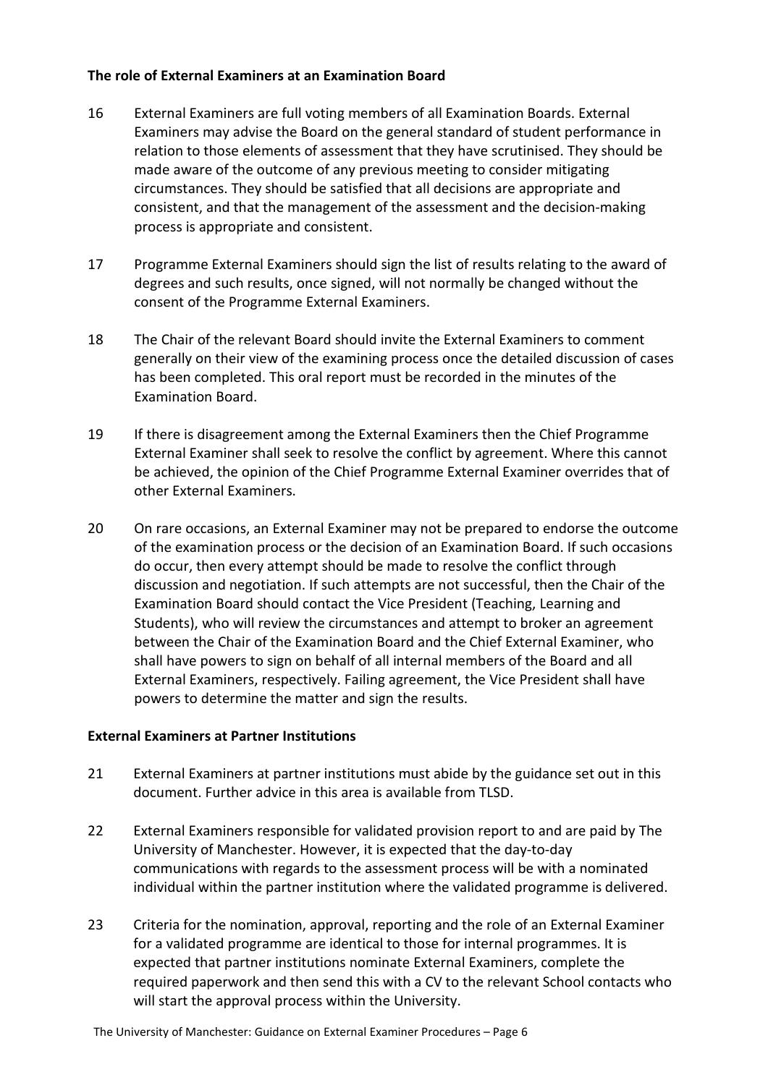## <span id="page-5-0"></span>**The role of External Examiners at an Examination Board**

- 16 External Examiners are full voting members of all Examination Boards. External Examiners may advise the Board on the general standard of student performance in relation to those elements of assessment that they have scrutinised. They should be made aware of the outcome of any previous meeting to consider mitigating circumstances. They should be satisfied that all decisions are appropriate and consistent, and that the management of the assessment and the decision-making process is appropriate and consistent.
- 17 Programme External Examiners should sign the list of results relating to the award of degrees and such results, once signed, will not normally be changed without the consent of the Programme External Examiners.
- 18 The Chair of the relevant Board should invite the External Examiners to comment generally on their view of the examining process once the detailed discussion of cases has been completed. This oral report must be recorded in the minutes of the Examination Board.
- 19 If there is disagreement among the External Examiners then the Chief Programme External Examiner shall seek to resolve the conflict by agreement. Where this cannot be achieved, the opinion of the Chief Programme External Examiner overrides that of other External Examiners.
- 20 On rare occasions, an External Examiner may not be prepared to endorse the outcome of the examination process or the decision of an Examination Board. If such occasions do occur, then every attempt should be made to resolve the conflict through discussion and negotiation. If such attempts are not successful, then the Chair of the Examination Board should contact the Vice President (Teaching, Learning and Students), who will review the circumstances and attempt to broker an agreement between the Chair of the Examination Board and the Chief External Examiner, who shall have powers to sign on behalf of all internal members of the Board and all External Examiners, respectively. Failing agreement, the Vice President shall have powers to determine the matter and sign the results.

#### <span id="page-5-1"></span>**External Examiners at Partner Institutions**

- 21 External Examiners at partner institutions must abide by the guidance set out in this document. Further advice in this area is available from TLSD.
- 22 External Examiners responsible for validated provision report to and are paid by The University of Manchester. However, it is expected that the day-to-day communications with regards to the assessment process will be with a nominated individual within the partner institution where the validated programme is delivered.
- 23 Criteria for the nomination, approval, reporting and the role of an External Examiner for a validated programme are identical to those for internal programmes. It is expected that partner institutions nominate External Examiners, complete the required paperwork and then send this with a CV to the relevant School contacts who will start the approval process within the University.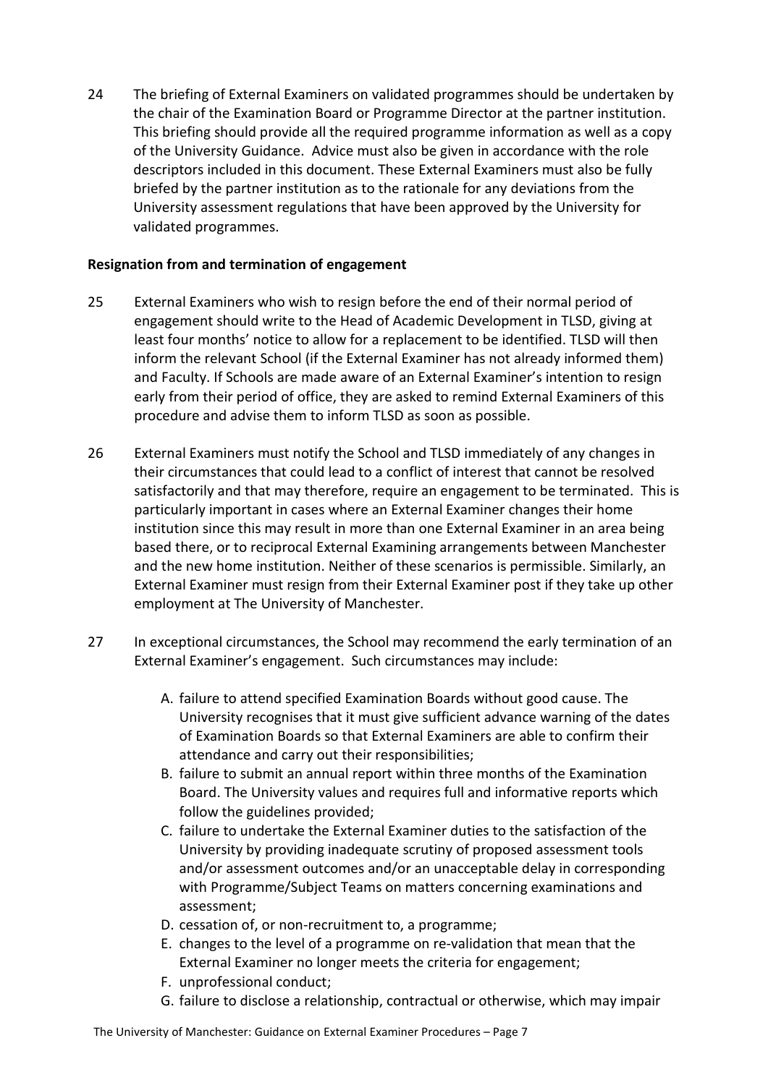24 The briefing of External Examiners on validated programmes should be undertaken by the chair of the Examination Board or Programme Director at the partner institution. This briefing should provide all the required programme information as well as a copy of the University Guidance. Advice must also be given in accordance with the role descriptors included in this document. These External Examiners must also be fully briefed by the partner institution as to the rationale for any deviations from the University assessment regulations that have been approved by the University for validated programmes.

# <span id="page-6-0"></span>**Resignation from and termination of engagement**

- 25 External Examiners who wish to resign before the end of their normal period of engagement should write to the Head of Academic Development in TLSD, giving at least four months' notice to allow for a replacement to be identified. TLSD will then inform the relevant School (if the External Examiner has not already informed them) and Faculty. If Schools are made aware of an External Examiner's intention to resign early from their period of office, they are asked to remind External Examiners of this procedure and advise them to inform TLSD as soon as possible.
- 26 External Examiners must notify the School and TLSD immediately of any changes in their circumstances that could lead to a conflict of interest that cannot be resolved satisfactorily and that may therefore, require an engagement to be terminated. This is particularly important in cases where an External Examiner changes their home institution since this may result in more than one External Examiner in an area being based there, or to reciprocal External Examining arrangements between Manchester and the new home institution. Neither of these scenarios is permissible. Similarly, an External Examiner must resign from their External Examiner post if they take up other employment at The University of Manchester.
- 27 In exceptional circumstances, the School may recommend the early termination of an External Examiner's engagement. Such circumstances may include:
	- A. failure to attend specified Examination Boards without good cause. The University recognises that it must give sufficient advance warning of the dates of Examination Boards so that External Examiners are able to confirm their attendance and carry out their responsibilities;
	- B. failure to submit an annual report within three months of the Examination Board. The University values and requires full and informative reports which follow the guidelines provided;
	- C. failure to undertake the External Examiner duties to the satisfaction of the University by providing inadequate scrutiny of proposed assessment tools and/or assessment outcomes and/or an unacceptable delay in corresponding with Programme/Subject Teams on matters concerning examinations and assessment;
	- D. cessation of, or non-recruitment to, a programme;
	- E. changes to the level of a programme on re-validation that mean that the External Examiner no longer meets the criteria for engagement;
	- F. unprofessional conduct;
	- G. failure to disclose a relationship, contractual or otherwise, which may impair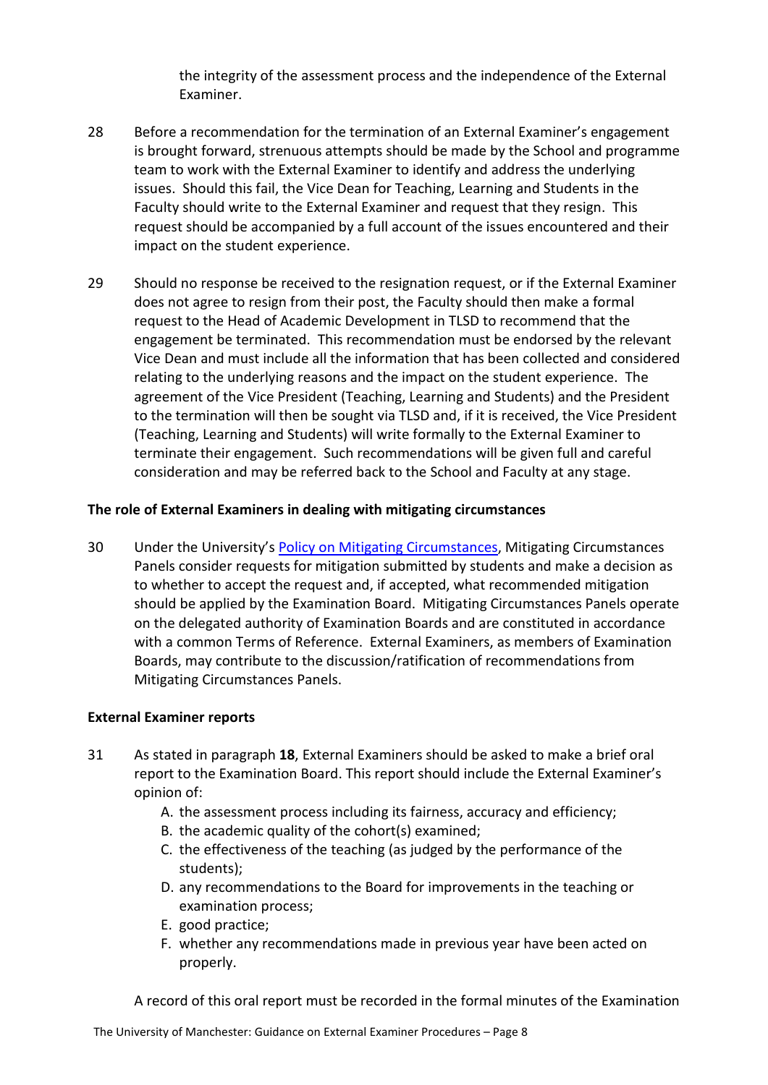the integrity of the assessment process and the independence of the External Examiner.

- 28 Before a recommendation for the termination of an External Examiner's engagement is brought forward, strenuous attempts should be made by the School and programme team to work with the External Examiner to identify and address the underlying issues. Should this fail, the Vice Dean for Teaching, Learning and Students in the Faculty should write to the External Examiner and request that they resign. This request should be accompanied by a full account of the issues encountered and their impact on the student experience.
- 29 Should no response be received to the resignation request, or if the External Examiner does not agree to resign from their post, the Faculty should then make a formal request to the Head of Academic Development in TLSD to recommend that the engagement be terminated. This recommendation must be endorsed by the relevant Vice Dean and must include all the information that has been collected and considered relating to the underlying reasons and the impact on the student experience. The agreement of the Vice President (Teaching, Learning and Students) and the President to the termination will then be sought via TLSD and, if it is received, the Vice President (Teaching, Learning and Students) will write formally to the External Examiner to terminate their engagement. Such recommendations will be given full and careful consideration and may be referred back to the School and Faculty at any stage.

# <span id="page-7-0"></span>**The role of External Examiners in dealing with mitigating circumstances**

30 Under the University's [Policy on Mitigating Circumstances,](http://www.regulations.manchester.ac.uk/academic/policy-on-mitigating-circumstances/) Mitigating Circumstances Panels consider requests for mitigation submitted by students and make a decision as to whether to accept the request and, if accepted, what recommended mitigation should be applied by the Examination Board. Mitigating Circumstances Panels operate on the delegated authority of Examination Boards and are constituted in accordance with a common Terms of Reference. External Examiners, as members of Examination Boards, may contribute to the discussion/ratification of recommendations from Mitigating Circumstances Panels.

# <span id="page-7-1"></span>**External Examiner reports**

- 31 As stated in paragraph **18**, External Examiners should be asked to make a brief oral report to the Examination Board. This report should include the External Examiner's opinion of:
	- A. the assessment process including its fairness, accuracy and efficiency;
	- B. the academic quality of the cohort(s) examined;
	- C. the effectiveness of the teaching (as judged by the performance of the students);
	- D. any recommendations to the Board for improvements in the teaching or examination process;
	- E. good practice;
	- F. whether any recommendations made in previous year have been acted on properly.

A record of this oral report must be recorded in the formal minutes of the Examination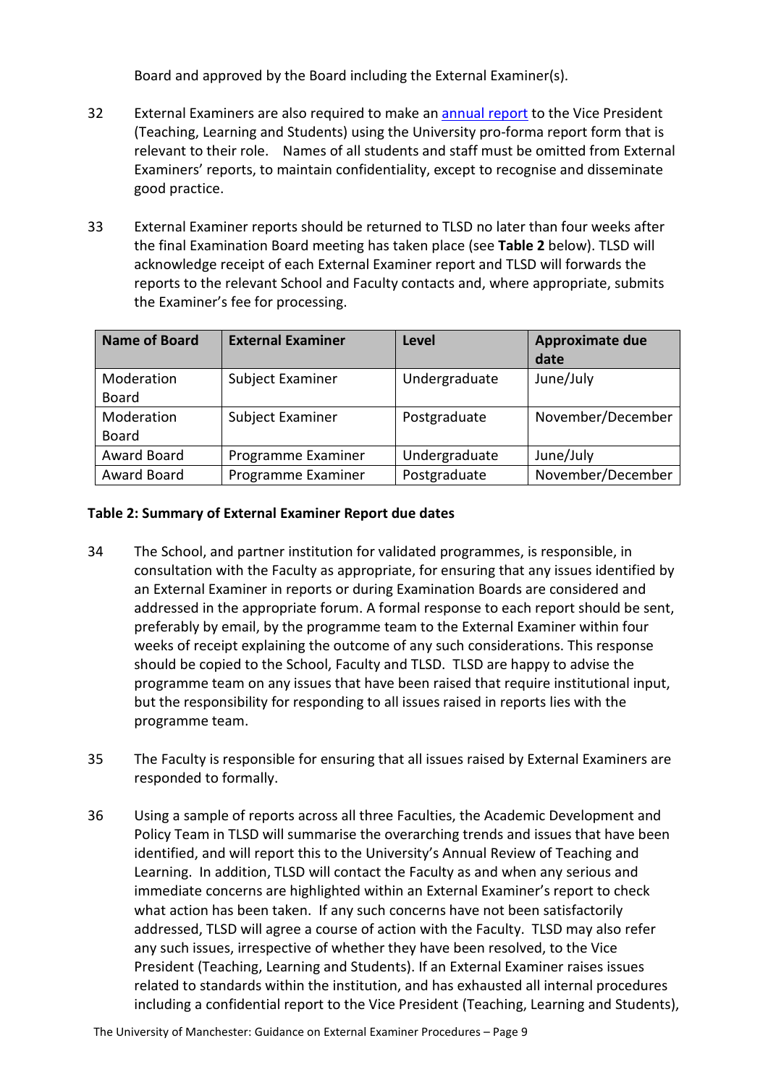Board and approved by the Board including the External Examiner(s).

- 32 External Examiners are also required to make a[n annual report](https://www.staffnet.manchester.ac.uk/tlso/external-examiners/information-for-external-examiners-/annual-report-forms/) to the Vice President (Teaching, Learning and Students) using the University pro-forma report form that is relevant to their role. Names of all students and staff must be omitted from External Examiners' reports, to maintain confidentiality, except to recognise and disseminate good practice.
- 33 External Examiner reports should be returned to TLSD no later than four weeks after the final Examination Board meeting has taken place (see **Table 2** below). TLSD will acknowledge receipt of each External Examiner report and TLSD will forwards the reports to the relevant School and Faculty contacts and, where appropriate, submits the Examiner's fee for processing.

| <b>Name of Board</b> | <b>External Examiner</b> | Level         | <b>Approximate due</b><br>date |
|----------------------|--------------------------|---------------|--------------------------------|
| Moderation           | Subject Examiner         | Undergraduate | June/July                      |
| <b>Board</b>         |                          |               |                                |
| Moderation           | Subject Examiner         | Postgraduate  | November/December              |
| <b>Board</b>         |                          |               |                                |
| Award Board          | Programme Examiner       | Undergraduate | June/July                      |
| Award Board          | Programme Examiner       | Postgraduate  | November/December              |

## **Table 2: Summary of External Examiner Report due dates**

- 34 The School, and partner institution for validated programmes, is responsible, in consultation with the Faculty as appropriate, for ensuring that any issues identified by an External Examiner in reports or during Examination Boards are considered and addressed in the appropriate forum. A formal response to each report should be sent, preferably by email, by the programme team to the External Examiner within four weeks of receipt explaining the outcome of any such considerations. This response should be copied to the School, Faculty and TLSD. TLSD are happy to advise the programme team on any issues that have been raised that require institutional input, but the responsibility for responding to all issues raised in reports lies with the programme team.
- 35 The Faculty is responsible for ensuring that all issues raised by External Examiners are responded to formally.
- 36 Using a sample of reports across all three Faculties, the Academic Development and Policy Team in TLSD will summarise the overarching trends and issues that have been identified, and will report this to the University's Annual Review of Teaching and Learning. In addition, TLSD will contact the Faculty as and when any serious and immediate concerns are highlighted within an External Examiner's report to check what action has been taken. If any such concerns have not been satisfactorily addressed, TLSD will agree a course of action with the Faculty. TLSD may also refer any such issues, irrespective of whether they have been resolved, to the Vice President (Teaching, Learning and Students). If an External Examiner raises issues related to standards within the institution, and has exhausted all internal procedures including a confidential report to the Vice President (Teaching, Learning and Students),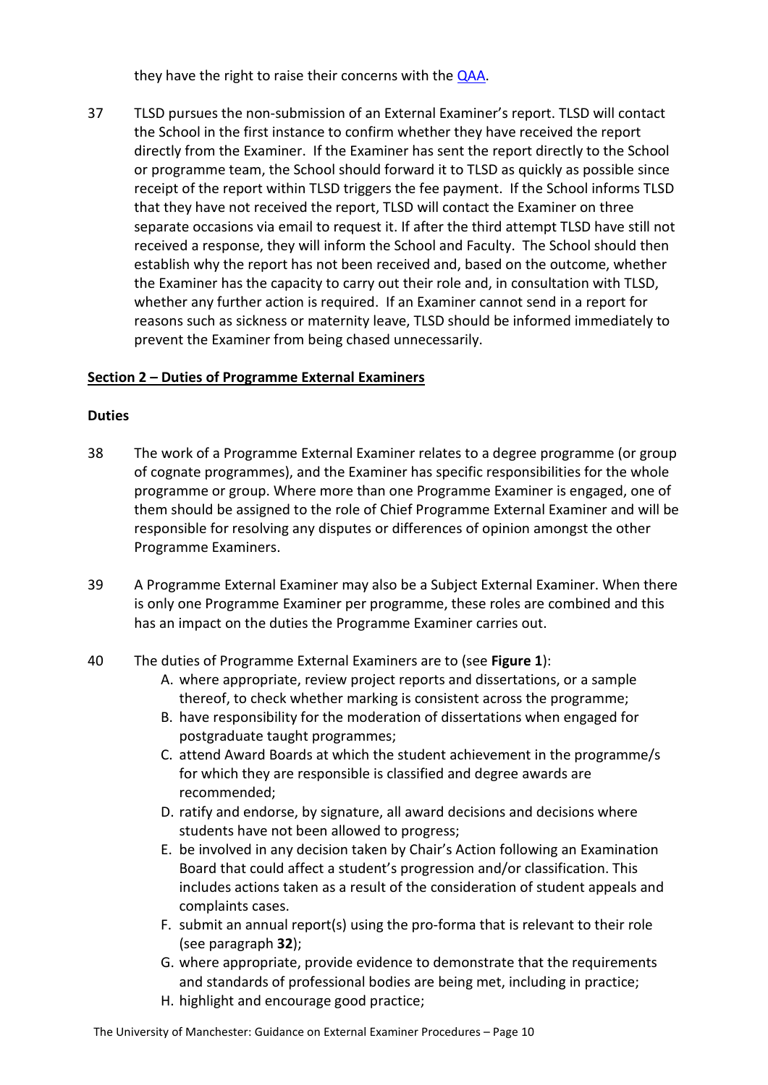they have the right to raise their concerns with the [QAA.](https://www.qaa.ac.uk/en/reviewing-higher-education/how-to-make-a-complaint)

37 TLSD pursues the non-submission of an External Examiner's report. TLSD will contact the School in the first instance to confirm whether they have received the report directly from the Examiner. If the Examiner has sent the report directly to the School or programme team, the School should forward it to TLSD as quickly as possible since receipt of the report within TLSD triggers the fee payment. If the School informs TLSD that they have not received the report, TLSD will contact the Examiner on three separate occasions via email to request it. If after the third attempt TLSD have still not received a response, they will inform the School and Faculty. The School should then establish why the report has not been received and, based on the outcome, whether the Examiner has the capacity to carry out their role and, in consultation with TLSD, whether any further action is required. If an Examiner cannot send in a report for reasons such as sickness or maternity leave, TLSD should be informed immediately to prevent the Examiner from being chased unnecessarily.

# <span id="page-9-0"></span>**Section 2 – Duties of Programme External Examiners**

## **Duties**

- 38 The work of a Programme External Examiner relates to a degree programme (or group of cognate programmes), and the Examiner has specific responsibilities for the whole programme or group. Where more than one Programme Examiner is engaged, one of them should be assigned to the role of Chief Programme External Examiner and will be responsible for resolving any disputes or differences of opinion amongst the other Programme Examiners.
- 39 A Programme External Examiner may also be a Subject External Examiner. When there is only one Programme Examiner per programme, these roles are combined and this has an impact on the duties the Programme Examiner carries out.
- 40 The duties of Programme External Examiners are to (see **Figure 1**):
	- A. where appropriate, review project reports and dissertations, or a sample thereof, to check whether marking is consistent across the programme;
	- B. have responsibility for the moderation of dissertations when engaged for postgraduate taught programmes;
	- C. attend Award Boards at which the student achievement in the programme/s for which they are responsible is classified and degree awards are recommended;
	- D. ratify and endorse, by signature, all award decisions and decisions where students have not been allowed to progress;
	- E. be involved in any decision taken by Chair's Action following an Examination Board that could affect a student's progression and/or classification. This includes actions taken as a result of the consideration of student appeals and complaints cases.
	- F. submit an annual report(s) using the pro-forma that is relevant to their role (see paragraph **32**);
	- G. where appropriate, provide evidence to demonstrate that the requirements and standards of professional bodies are being met, including in practice;
	- H. highlight and encourage good practice;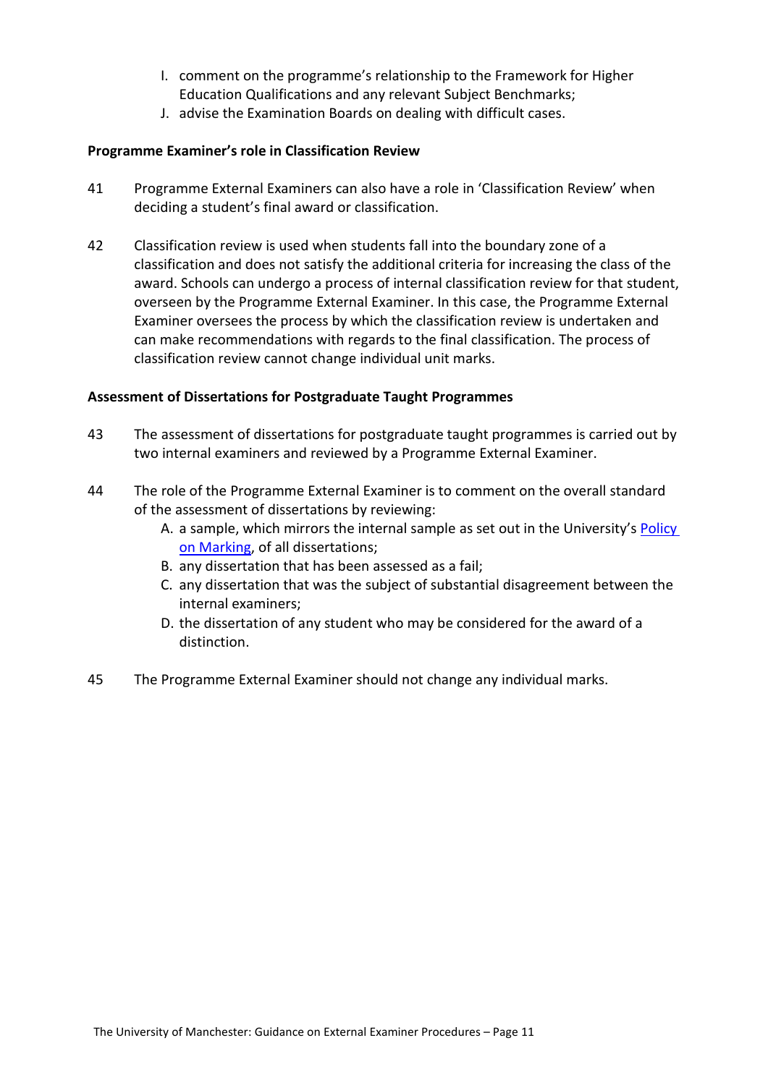- I. comment on the programme's relationship to the Framework for Higher Education Qualifications and any relevant Subject Benchmarks;
- J. advise the Examination Boards on dealing with difficult cases.

## <span id="page-10-0"></span>**Programme Examiner's role in Classification Review**

- 41 Programme External Examiners can also have a role in 'Classification Review' when deciding a student's final award or classification.
- 42 Classification review is used when students fall into the boundary zone of a classification and does not satisfy the additional criteria for increasing the class of the award. Schools can undergo a process of internal classification review for that student, overseen by the Programme External Examiner. In this case, the Programme External Examiner oversees the process by which the classification review is undertaken and can make recommendations with regards to the final classification. The process of classification review cannot change individual unit marks.

#### <span id="page-10-1"></span>**Assessment of Dissertations for Postgraduate Taught Programmes**

- 43 The assessment of dissertations for postgraduate taught programmes is carried out by two internal examiners and reviewed by a Programme External Examiner.
- 44 The role of the Programme External Examiner is to comment on the overall standard of the assessment of dissertations by reviewing:
	- A. a sample, which mirrors the internal sample as set out in the University's [Policy](http://www.tlso.manchester.ac.uk/map/teachinglearningassessment/assessment/sectionb-thepracticeofassessment/policyonmarking/)  [on Marking,](http://www.tlso.manchester.ac.uk/map/teachinglearningassessment/assessment/sectionb-thepracticeofassessment/policyonmarking/) of all dissertations;
	- B. any dissertation that has been assessed as a fail;
	- C. any dissertation that was the subject of substantial disagreement between the internal examiners;
	- D. the dissertation of any student who may be considered for the award of a distinction.
- 45 The Programme External Examiner should not change any individual marks.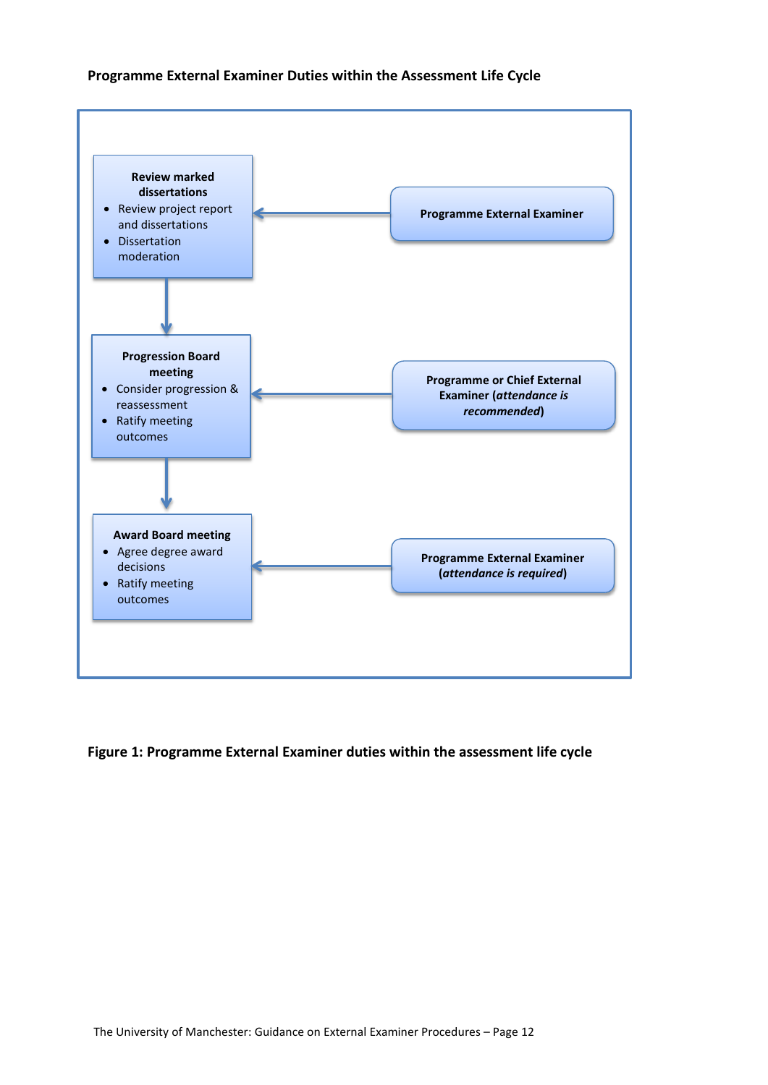#### **Programme External Examiner Duties within the Assessment Life Cycle**



#### **Figure 1: Programme External Examiner duties within the assessment life cycle**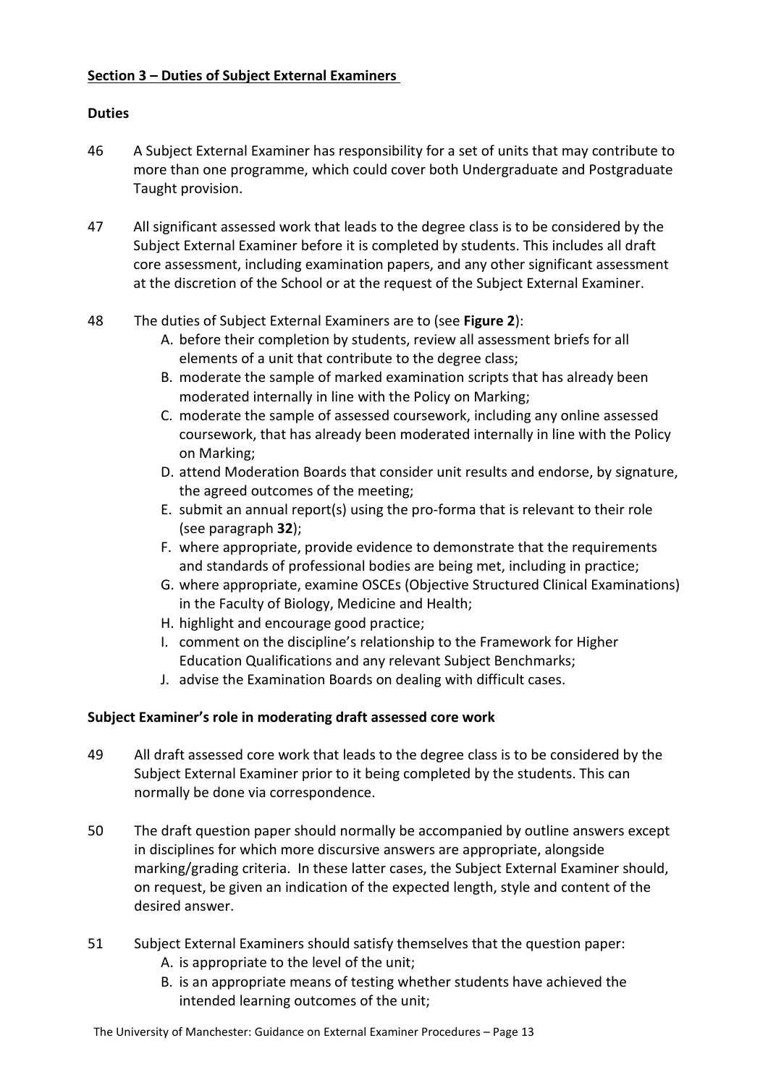# <span id="page-12-0"></span>**Section 3 – Duties of Subject External Examiners**

# **Duties**

- 46 A Subject External Examiner has responsibility for a set of units that may contribute to more than one programme, which could cover both Undergraduate and Postgraduate Taught provision.
- 47 All significant assessed work that leads to the degree class is to be considered by the Subject External Examiner before it is completed by students. This includes all draft core assessment, including examination papers, and any other significant assessment at the discretion of the School or at the request of the Subject External Examiner.

# 48 The duties of Subject External Examiners are to (see **Figure 2**):

- A. before their completion by students, review all assessment briefs for all elements of a unit that contribute to the degree class;
- B. moderate the sample of marked examination scripts that has already been moderated internally in line with the Policy on Marking;
- C. moderate the sample of assessed coursework, including any online assessed coursework, that has already been moderated internally in line with the Policy on Marking;
- D. attend Moderation Boards that consider unit results and endorse, by signature, the agreed outcomes of the meeting;
- E. submit an annual report(s) using the pro-forma that is relevant to their role (see paragraph **32**);
- F. where appropriate, provide evidence to demonstrate that the requirements and standards of professional bodies are being met, including in practice;
- G. where appropriate, examine OSCEs (Objective Structured Clinical Examinations) in the Faculty of Biology, Medicine and Health;
- H. highlight and encourage good practice;
- I. comment on the discipline's relationship to the Framework for Higher Education Qualifications and any relevant Subject Benchmarks;
- J. advise the Examination Boards on dealing with difficult cases.

# <span id="page-12-1"></span>**Subject Examiner's role in moderating draft assessed core work**

- 49 All draft assessed core work that leads to the degree class is to be considered by the Subject External Examiner prior to it being completed by the students. This can normally be done via correspondence.
- 50 The draft question paper should normally be accompanied by outline answers except in disciplines for which more discursive answers are appropriate, alongside marking/grading criteria. In these latter cases, the Subject External Examiner should, on request, be given an indication of the expected length, style and content of the desired answer.
- 51 Subject External Examiners should satisfy themselves that the question paper:
	- A. is appropriate to the level of the unit;
	- B. is an appropriate means of testing whether students have achieved the intended learning outcomes of the unit;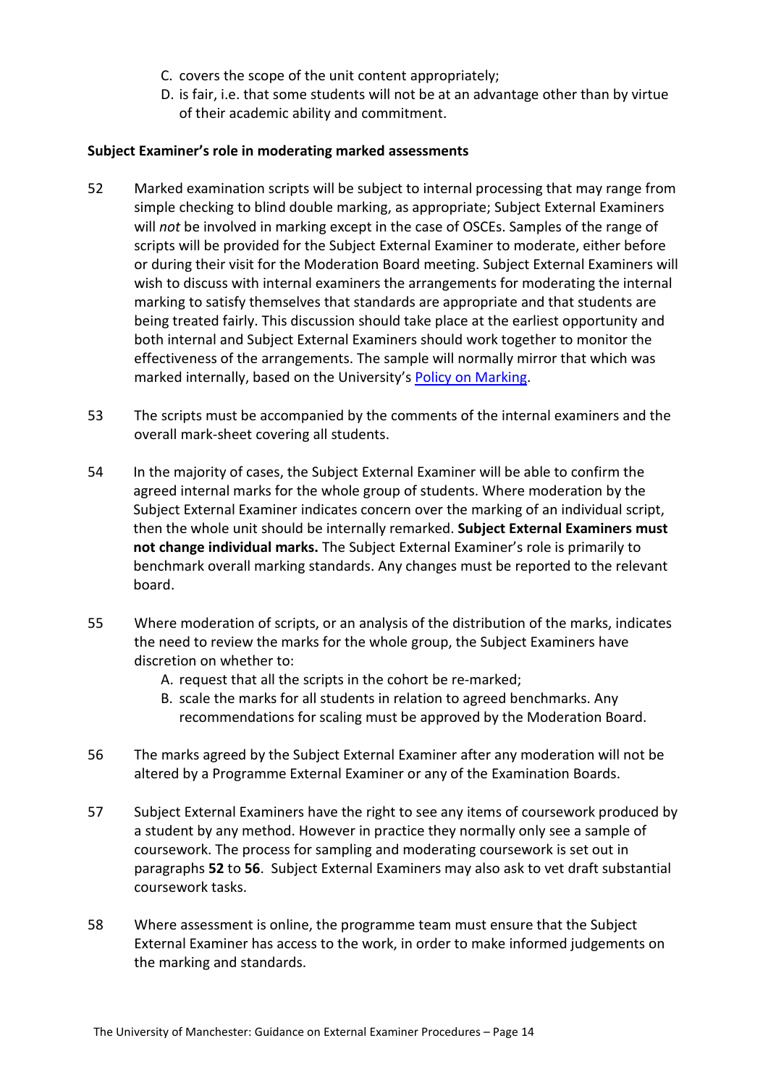- C. covers the scope of the unit content appropriately;
- D. is fair, i.e. that some students will not be at an advantage other than by virtue of their academic ability and commitment.

#### <span id="page-13-0"></span>**Subject Examiner's role in moderating marked assessments**

- 52 Marked examination scripts will be subject to internal processing that may range from simple checking to blind double marking, as appropriate; Subject External Examiners will *not* be involved in marking except in the case of OSCEs. Samples of the range of scripts will be provided for the Subject External Examiner to moderate, either before or during their visit for the Moderation Board meeting. Subject External Examiners will wish to discuss with internal examiners the arrangements for moderating the internal marking to satisfy themselves that standards are appropriate and that students are being treated fairly. This discussion should take place at the earliest opportunity and both internal and Subject External Examiners should work together to monitor the effectiveness of the arrangements. The sample will normally mirror that which was marked internally, based on the University'[s Policy on Marking.](http://documents.manchester.ac.uk/display.aspx?DocID=26290)
- 53 The scripts must be accompanied by the comments of the internal examiners and the overall mark-sheet covering all students.
- 54 In the majority of cases, the Subject External Examiner will be able to confirm the agreed internal marks for the whole group of students. Where moderation by the Subject External Examiner indicates concern over the marking of an individual script, then the whole unit should be internally remarked. **Subject External Examiners must not change individual marks.** The Subject External Examiner's role is primarily to benchmark overall marking standards. Any changes must be reported to the relevant board.
- 55 Where moderation of scripts, or an analysis of the distribution of the marks, indicates the need to review the marks for the whole group, the Subject Examiners have discretion on whether to:
	- A. request that all the scripts in the cohort be re-marked;
	- B. scale the marks for all students in relation to agreed benchmarks. Any recommendations for scaling must be approved by the Moderation Board.
- 56 The marks agreed by the Subject External Examiner after any moderation will not be altered by a Programme External Examiner or any of the Examination Boards.
- 57 Subject External Examiners have the right to see any items of coursework produced by a student by any method. However in practice they normally only see a sample of coursework. The process for sampling and moderating coursework is set out in paragraphs **52** to **56**. Subject External Examiners may also ask to vet draft substantial coursework tasks.
- 58 Where assessment is online, the programme team must ensure that the Subject External Examiner has access to the work, in order to make informed judgements on the marking and standards.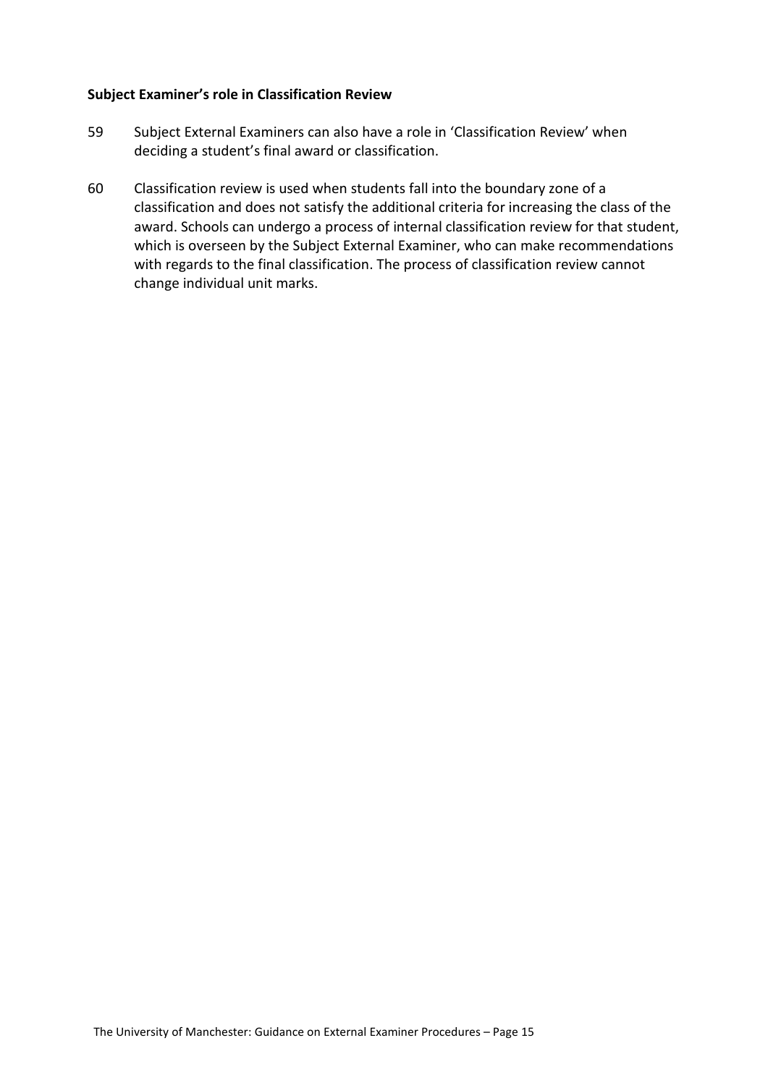#### <span id="page-14-0"></span>**Subject Examiner's role in Classification Review**

- 59 Subject External Examiners can also have a role in 'Classification Review' when deciding a student's final award or classification.
- 60 Classification review is used when students fall into the boundary zone of a classification and does not satisfy the additional criteria for increasing the class of the award. Schools can undergo a process of internal classification review for that student, which is overseen by the Subject External Examiner, who can make recommendations with regards to the final classification. The process of classification review cannot change individual unit marks.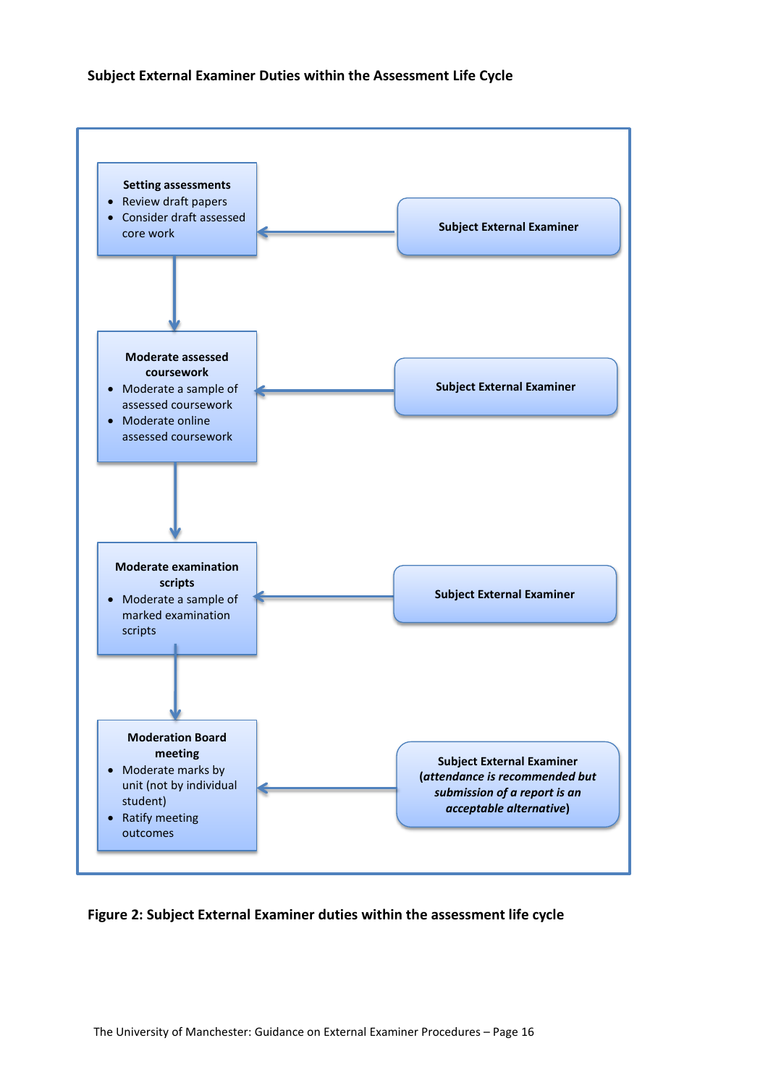#### **Subject External Examiner Duties within the Assessment Life Cycle**



#### **Figure 2: Subject External Examiner duties within the assessment life cycle**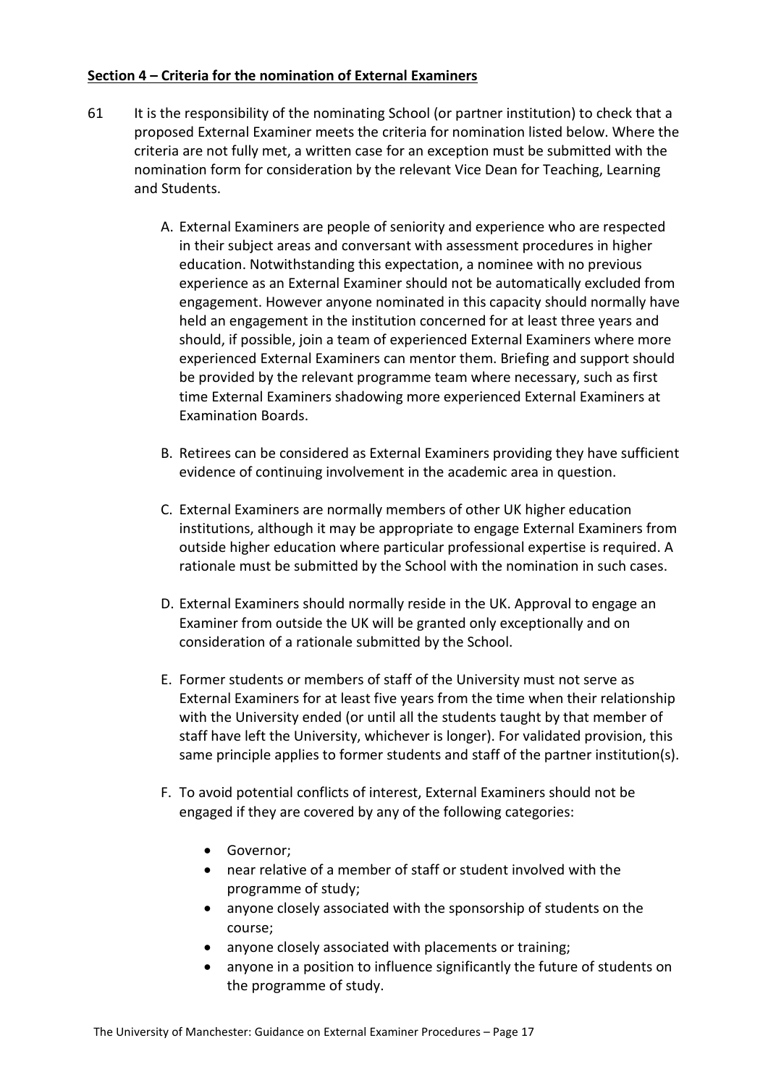## <span id="page-16-0"></span>**Section 4 – Criteria for the nomination of External Examiners**

- 61 It is the responsibility of the nominating School (or partner institution) to check that a proposed External Examiner meets the criteria for nomination listed below. Where the criteria are not fully met, a written case for an exception must be submitted with the nomination form for consideration by the relevant Vice Dean for Teaching, Learning and Students.
	- A. External Examiners are people of seniority and experience who are respected in their subject areas and conversant with assessment procedures in higher education. Notwithstanding this expectation, a nominee with no previous experience as an External Examiner should not be automatically excluded from engagement. However anyone nominated in this capacity should normally have held an engagement in the institution concerned for at least three years and should, if possible, join a team of experienced External Examiners where more experienced External Examiners can mentor them. Briefing and support should be provided by the relevant programme team where necessary, such as first time External Examiners shadowing more experienced External Examiners at Examination Boards.
	- B. Retirees can be considered as External Examiners providing they have sufficient evidence of continuing involvement in the academic area in question.
	- C. External Examiners are normally members of other UK higher education institutions, although it may be appropriate to engage External Examiners from outside higher education where particular professional expertise is required. A rationale must be submitted by the School with the nomination in such cases.
	- D. External Examiners should normally reside in the UK. Approval to engage an Examiner from outside the UK will be granted only exceptionally and on consideration of a rationale submitted by the School.
	- E. Former students or members of staff of the University must not serve as External Examiners for at least five years from the time when their relationship with the University ended (or until all the students taught by that member of staff have left the University, whichever is longer). For validated provision, this same principle applies to former students and staff of the partner institution(s).
	- F. To avoid potential conflicts of interest, External Examiners should not be engaged if they are covered by any of the following categories:
		- Governor;
		- near relative of a member of staff or student involved with the programme of study;
		- anyone closely associated with the sponsorship of students on the course;
		- anyone closely associated with placements or training;
		- anyone in a position to influence significantly the future of students on the programme of study.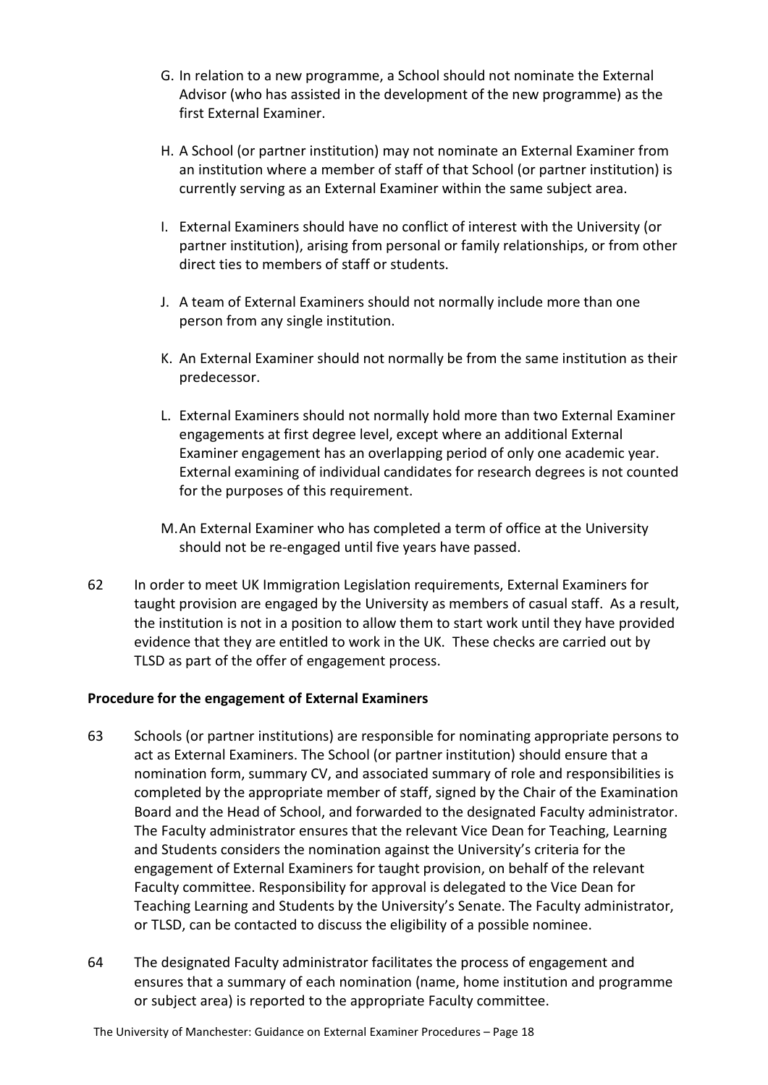- G. In relation to a new programme, a School should not nominate the External Advisor (who has assisted in the development of the new programme) as the first External Examiner.
- H. A School (or partner institution) may not nominate an External Examiner from an institution where a member of staff of that School (or partner institution) is currently serving as an External Examiner within the same subject area.
- I. External Examiners should have no conflict of interest with the University (or partner institution), arising from personal or family relationships, or from other direct ties to members of staff or students.
- J. A team of External Examiners should not normally include more than one person from any single institution.
- K. An External Examiner should not normally be from the same institution as their predecessor.
- L. External Examiners should not normally hold more than two External Examiner engagements at first degree level, except where an additional External Examiner engagement has an overlapping period of only one academic year. External examining of individual candidates for research degrees is not counted for the purposes of this requirement.
- M.An External Examiner who has completed a term of office at the University should not be re-engaged until five years have passed.
- 62 In order to meet UK Immigration Legislation requirements, External Examiners for taught provision are engaged by the University as members of casual staff. As a result, the institution is not in a position to allow them to start work until they have provided evidence that they are entitled to work in the UK. These checks are carried out by TLSD as part of the offer of engagement process.

# <span id="page-17-0"></span>**Procedure for the engagement of External Examiners**

- 63 Schools (or partner institutions) are responsible for nominating appropriate persons to act as External Examiners. The School (or partner institution) should ensure that a nomination form, summary CV, and associated summary of role and responsibilities is completed by the appropriate member of staff, signed by the Chair of the Examination Board and the Head of School, and forwarded to the designated Faculty administrator. The Faculty administrator ensures that the relevant Vice Dean for Teaching, Learning and Students considers the nomination against the University's criteria for the engagement of External Examiners for taught provision, on behalf of the relevant Faculty committee. Responsibility for approval is delegated to the Vice Dean for Teaching Learning and Students by the University's Senate. The Faculty administrator, or TLSD, can be contacted to discuss the eligibility of a possible nominee.
- 64 The designated Faculty administrator facilitates the process of engagement and ensures that a summary of each nomination (name, home institution and programme or subject area) is reported to the appropriate Faculty committee.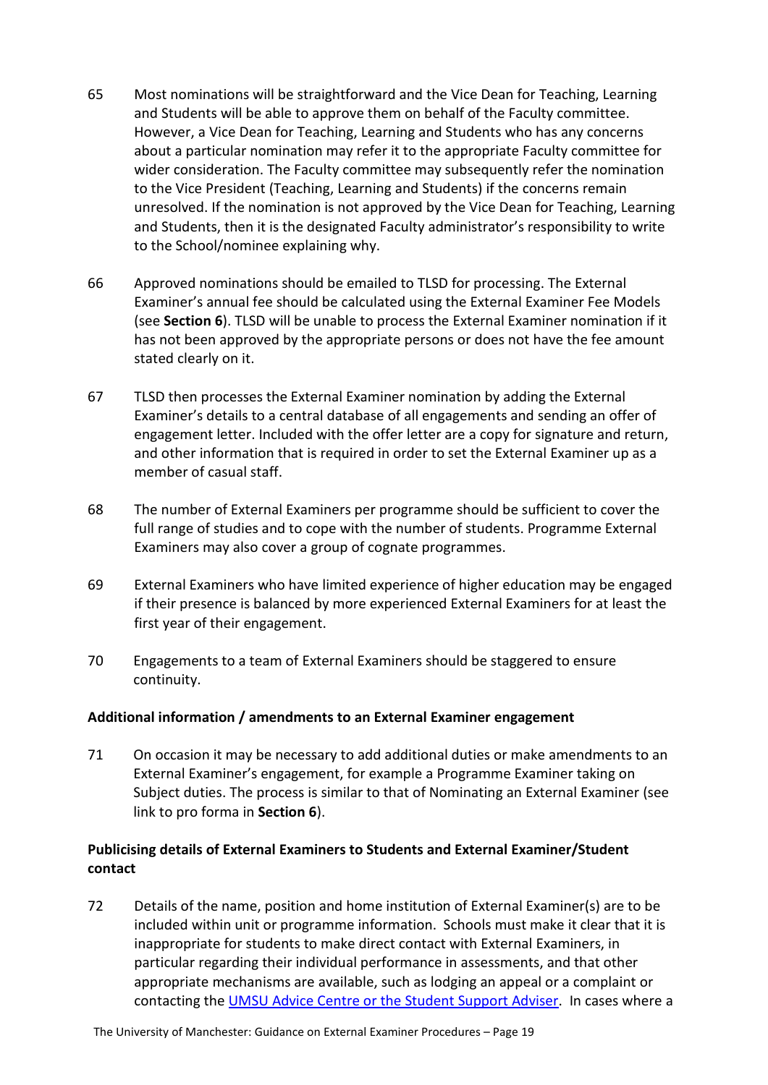- 65 Most nominations will be straightforward and the Vice Dean for Teaching, Learning and Students will be able to approve them on behalf of the Faculty committee. However, a Vice Dean for Teaching, Learning and Students who has any concerns about a particular nomination may refer it to the appropriate Faculty committee for wider consideration. The Faculty committee may subsequently refer the nomination to the Vice President (Teaching, Learning and Students) if the concerns remain unresolved. If the nomination is not approved by the Vice Dean for Teaching, Learning and Students, then it is the designated Faculty administrator's responsibility to write to the School/nominee explaining why.
- 66 Approved nominations should be emailed to TLSD for processing. The External Examiner's annual fee should be calculated using the External Examiner Fee Models (see **Section 6**). TLSD will be unable to process the External Examiner nomination if it has not been approved by the appropriate persons or does not have the fee amount stated clearly on it.
- 67 TLSD then processes the External Examiner nomination by adding the External Examiner's details to a central database of all engagements and sending an offer of engagement letter. Included with the offer letter are a copy for signature and return, and other information that is required in order to set the External Examiner up as a member of casual staff.
- 68 The number of External Examiners per programme should be sufficient to cover the full range of studies and to cope with the number of students. Programme External Examiners may also cover a group of cognate programmes.
- 69 External Examiners who have limited experience of higher education may be engaged if their presence is balanced by more experienced External Examiners for at least the first year of their engagement.
- 70 Engagements to a team of External Examiners should be staggered to ensure continuity.

# <span id="page-18-0"></span>**Additional information / amendments to an External Examiner engagement**

71 On occasion it may be necessary to add additional duties or make amendments to an External Examiner's engagement, for example a Programme Examiner taking on Subject duties. The process is similar to that of Nominating an External Examiner (see link to pro forma in **Section 6**).

# <span id="page-18-1"></span>**Publicising details of External Examiners to Students and External Examiner/Student contact**

72 Details of the name, position and home institution of External Examiner(s) are to be included within unit or programme information. Schools must make it clear that it is inappropriate for students to make direct contact with External Examiners, in particular regarding their individual performance in assessments, and that other appropriate mechanisms are available, such as lodging an appeal or a complaint or contacting the UMSU Advice Centre [or the Student Support Adviser.](http://www.manchester.ac.uk/study/experience/student-life/university/student-support/) In cases where a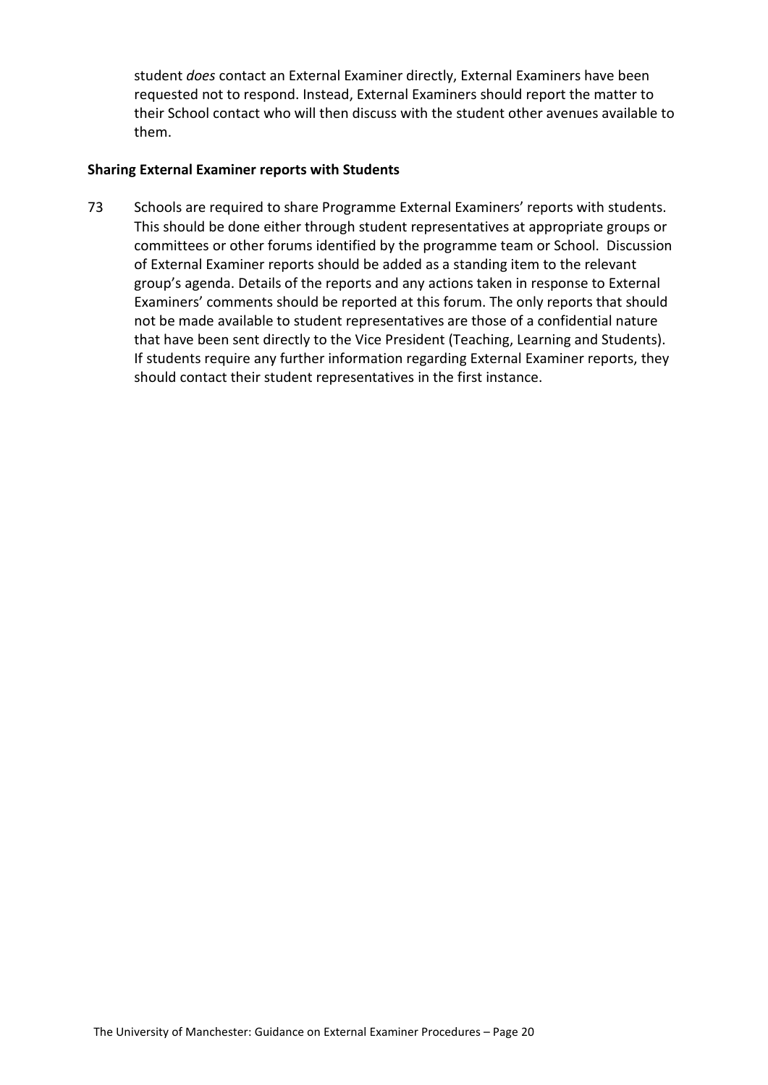student *does* contact an External Examiner directly, External Examiners have been requested not to respond. Instead, External Examiners should report the matter to their School contact who will then discuss with the student other avenues available to them.

#### <span id="page-19-0"></span>**Sharing External Examiner reports with Students**

73 Schools are required to share Programme External Examiners' reports with students. This should be done either through student representatives at appropriate groups or committees or other forums identified by the programme team or School. Discussion of External Examiner reports should be added as a standing item to the relevant group's agenda. Details of the reports and any actions taken in response to External Examiners' comments should be reported at this forum. The only reports that should not be made available to student representatives are those of a confidential nature that have been sent directly to the Vice President (Teaching, Learning and Students). If students require any further information regarding External Examiner reports, they should contact their student representatives in the first instance.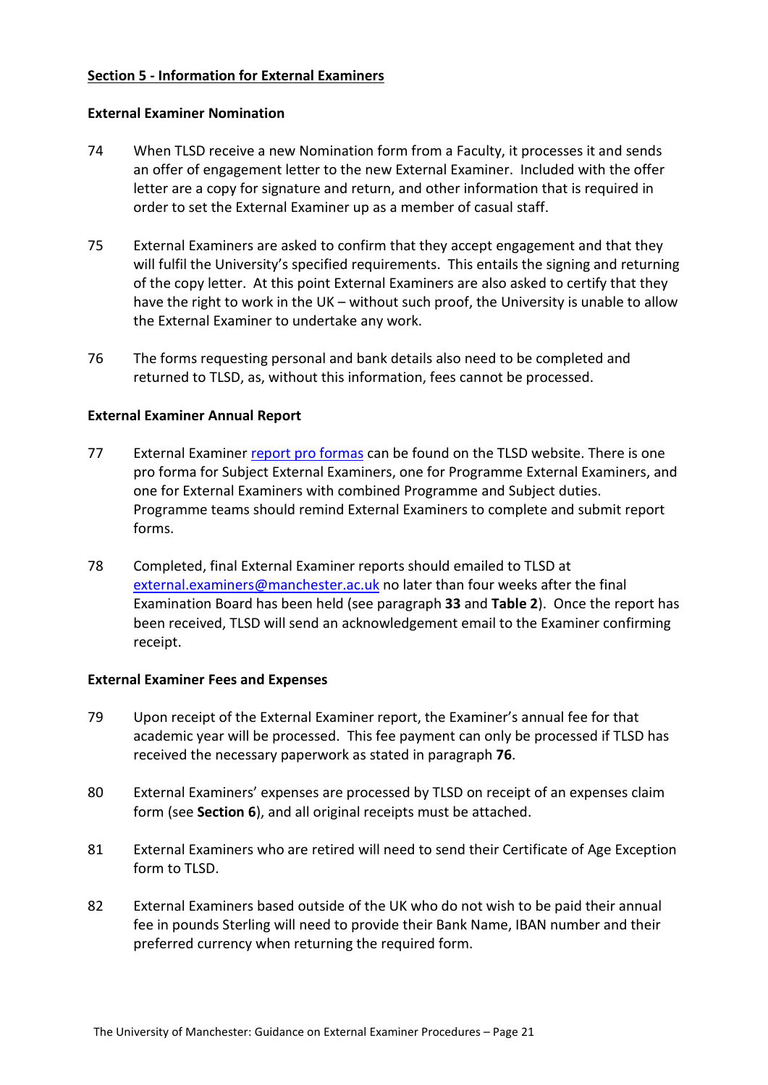## <span id="page-20-0"></span>**Section 5 - Information for External Examiners**

#### <span id="page-20-1"></span>**External Examiner Nomination**

- 74 When TLSD receive a new Nomination form from a Faculty, it processes it and sends an offer of engagement letter to the new External Examiner. Included with the offer letter are a copy for signature and return, and other information that is required in order to set the External Examiner up as a member of casual staff.
- 75 External Examiners are asked to confirm that they accept engagement and that they will fulfil the University's specified requirements. This entails the signing and returning of the copy letter. At this point External Examiners are also asked to certify that they have the right to work in the UK – without such proof, the University is unable to allow the External Examiner to undertake any work.
- 76 The forms requesting personal and bank details also need to be completed and returned to TLSD, as, without this information, fees cannot be processed.

#### <span id="page-20-2"></span>**External Examiner Annual Report**

- 77 External Examiner [report pro formas](https://www.staffnet.manchester.ac.uk/tlso/external-examiners/information-for-external-examiners-/annual-report-forms/) can be found on the TLSD website. There is one pro forma for Subject External Examiners, one for Programme External Examiners, and one for External Examiners with combined Programme and Subject duties. Programme teams should remind External Examiners to complete and submit report forms.
- 78 Completed, final External Examiner reports should emailed to TLSD at [external.examiners@manchester.ac.uk](mailto:external.examiners@manchester.ac.uk) no later than four weeks after the final Examination Board has been held (see paragraph **33** and **Table 2**). Once the report has been received, TLSD will send an acknowledgement email to the Examiner confirming receipt.

#### <span id="page-20-3"></span>**External Examiner Fees and Expenses**

- 79 Upon receipt of the External Examiner report, the Examiner's annual fee for that academic year will be processed. This fee payment can only be processed if TLSD has received the necessary paperwork as stated in paragraph **76**.
- 80 External Examiners' expenses are processed by TLSD on receipt of an expenses claim form (see **Section 6**), and all original receipts must be attached.
- 81 External Examiners who are retired will need to send their Certificate of Age Exception form to TLSD.
- 82 External Examiners based outside of the UK who do not wish to be paid their annual fee in pounds Sterling will need to provide their Bank Name, IBAN number and their preferred currency when returning the required form.